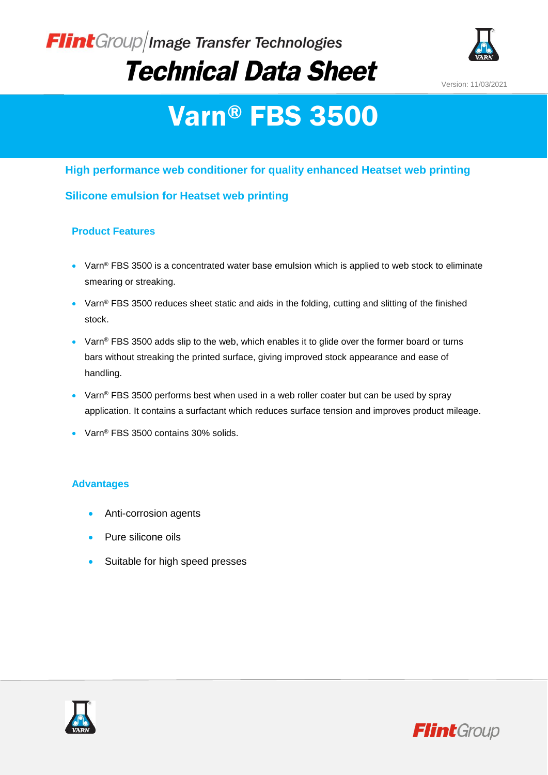### Flint Group/Image Transfer Technologies **Technical Data Sheet**



Version: 11/03/2021

# Varn® FBS 3500

#### **High performance web conditioner for quality enhanced Heatset web printing**

#### **Silicone emulsion for Heatset web printing**

#### **Product Features**

- Varn® FBS 3500 is a concentrated water base emulsion which is applied to web stock to eliminate smearing or streaking.
- Varn® FBS 3500 reduces sheet static and aids in the folding, cutting and slitting of the finished stock.
- Varn® FBS 3500 adds slip to the web, which enables it to glide over the former board or turns bars without streaking the printed surface, giving improved stock appearance and ease of handling.
- $\bullet$  Varn® FBS 3500 performs best when used in a web roller coater but can be used by spray application. It contains a surfactant which reduces surface tension and improves product mileage.
- Varn<sup>®</sup> FBS 3500 contains 30% solids.

#### **Advantages**

- Anti-corrosion agents
- Pure silicone oils
- Suitable for high speed presses